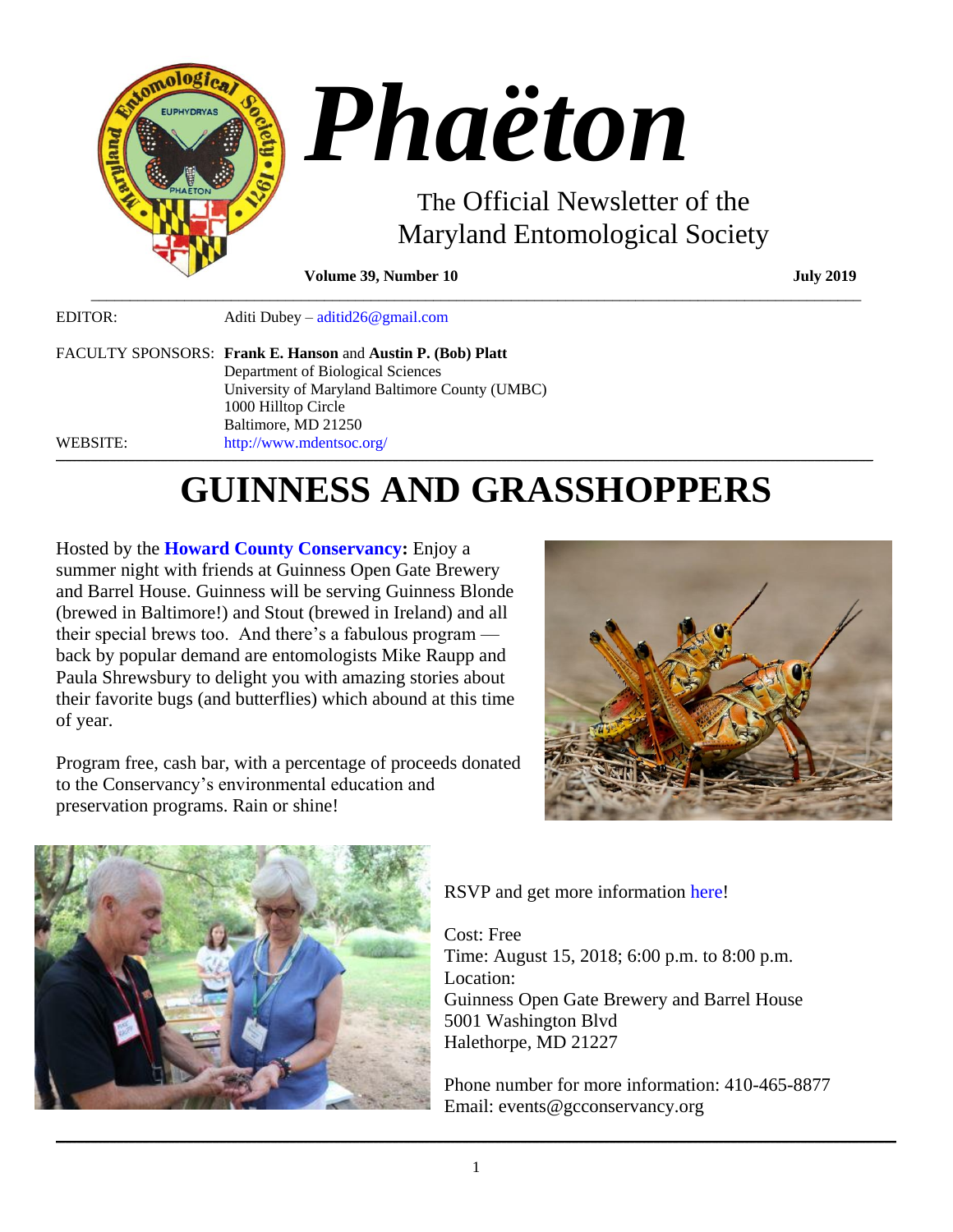

**Volume 39, Number 10 July** 2019

EDITOR: Aditi Dubey – [aditid26@gmail.com](mailto:aditid26@gmail.com) FACULTY SPONSORS: **Frank E. Hanson** and **Austin P. (Bob) Platt** Department of Biological Sciences University of Maryland Baltimore County (UMBC) 1000 Hilltop Circle Baltimore, MD 21250 WEBSITE: <http://www.mdentsoc.org/>

# **GUINNESS AND GRASSHOPPERS**

,一个人的人都是一个人的人,而且,他们的人都是一个人的人,而且,他们的人都是一个人的人,而且,他们的人都是一个人的人,而且,他们的人都是一个人的人,而且,他们的<br>第一百一十一章 一个人的人,他们的人都是一个人的人,他们的人都是一个人的人,他们的人都是一个人的人,他们的人都是一个人的人,他们的人都是一个人的人,他们的人都是

 $\_$  ,  $\_$  ,  $\_$  ,  $\_$  ,  $\_$  ,  $\_$  ,  $\_$  ,  $\_$  ,  $\_$  ,  $\_$  ,  $\_$  ,  $\_$  ,  $\_$  ,  $\_$  ,  $\_$  ,  $\_$  ,  $\_$  ,  $\_$  ,  $\_$  ,  $\_$  ,  $\_$  ,  $\_$  ,  $\_$  ,  $\_$  ,  $\_$  ,  $\_$  ,  $\_$  ,  $\_$  ,  $\_$  ,  $\_$  ,  $\_$  ,  $\_$  ,  $\_$  ,  $\_$  ,  $\_$  ,  $\_$  ,  $\_$  ,

Hosted by the **[Howard County Conservancy:](http://www.hcconservancy.org/)** Enjoy a summer night with friends at Guinness Open Gate Brewery and Barrel House. Guinness will be serving Guinness Blonde (brewed in Baltimore!) and Stout (brewed in Ireland) and all their special brews too. And there's a fabulous program back by popular demand are entomologists Mike Raupp and Paula Shrewsbury to delight you with amazing stories about their favorite bugs (and butterflies) which abound at this time of year.

Program free, cash bar, with a percentage of proceeds donated to the Conservancy's environmental education and preservation programs. Rain or shine!





RSVP and get more information [here!](https://www.hcconservancy.org/event/guinness-and-grasshoppers/)

Cost: Free Time: August 15, 2018; 6:00 p.m. to 8:00 p.m. Location: Guinness Open Gate Brewery and Barrel House 5001 Washington Blvd Halethorpe, MD 21227

Phone number for more information: 410-465-8877 Email: events@gcconservancy.org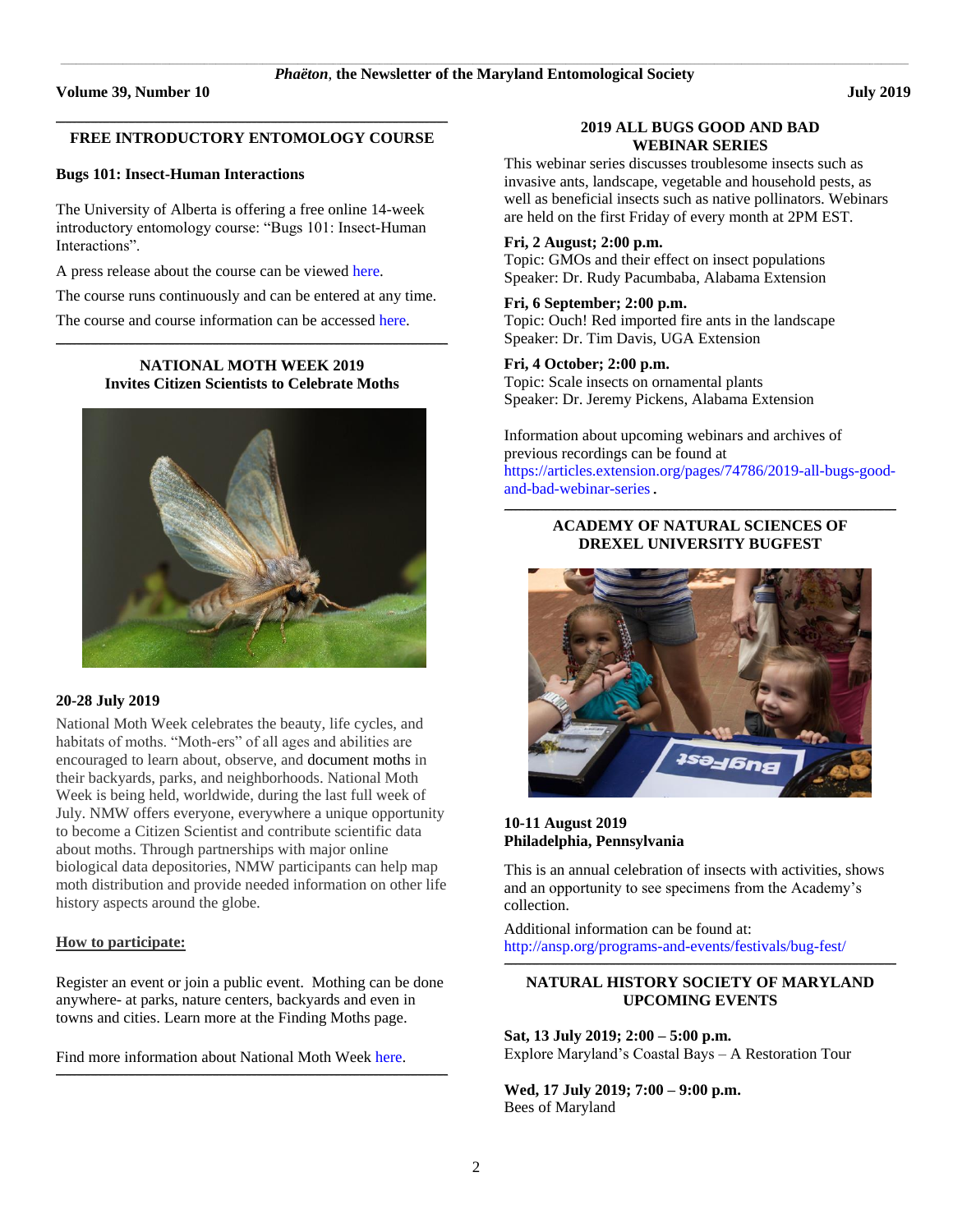#### **\_\_\_\_\_\_\_\_\_\_\_\_\_\_\_\_\_\_\_\_\_\_\_\_\_\_\_\_\_\_\_\_\_\_\_\_\_\_\_\_\_\_\_\_\_\_\_\_\_\_\_\_\_\_\_\_\_\_\_\_\_\_\_\_\_\_\_\_\_\_\_\_\_\_\_\_\_\_\_\_\_\_\_\_\_\_\_\_\_\_\_\_\_\_\_\_\_\_\_\_\_\_\_\_\_\_\_\_\_\_\_\_\_\_\_\_\_\_\_\_\_\_\_\_\_\_\_\_\_\_\_\_\_\_\_\_\_\_\_\_\_\_\_\_\_\_\_\_\_\_\_\_\_\_\_\_\_\_\_\_\_\_\_\_\_\_\_\_ FREE INTRODUCTORY ENTOMOLOGY COURSE**

#### **Bugs 101: Insect-Human Interactions**

The University of Alberta is offering a free online 14-week introductory entomology course: "Bugs 101: Insect-Human Interactions".

A press release about the course can be viewe[d here.](https://edmontonjournal.com/news/local-news/free-online-u-of-a-course-teaches-value-of-bugs%20.)

The course runs continuously and can be entered at any time.

The course and course information can be accesse[d here.](https://www.coursera.org/learn/bugs-101%20.)

#### **\_\_\_\_\_\_\_\_\_\_\_\_\_\_\_\_\_\_\_\_\_\_\_\_\_\_\_\_\_\_\_\_\_\_\_\_\_\_\_\_\_\_\_\_\_\_\_\_\_\_\_\_\_\_\_\_\_\_\_\_\_\_\_\_\_\_\_\_\_\_\_\_\_\_\_\_\_\_\_\_\_\_\_\_\_\_\_\_\_\_\_\_\_\_\_\_\_\_\_\_\_\_\_\_\_\_\_\_\_\_\_\_\_\_\_\_\_\_\_\_\_\_\_\_\_\_\_\_\_\_\_\_\_\_\_\_\_\_\_\_\_\_\_\_\_\_\_\_\_\_\_\_\_\_\_\_\_\_\_\_\_\_\_\_\_\_\_\_ NATIONAL MOTH WEEK 2019 Invites Citizen Scientists to Celebrate Moths**



#### **20-28 July 2019**

National Moth Week celebrates the beauty, life cycles, and habitats of moths. "Moth-ers" of all ages and abilities are encouraged to learn about, observe, and [document](http://nationalmothweek.org/how-to-submit-data/) moths in their backyards, parks, and neighborhoods. National Moth Week is being held, worldwide, during the last full week of July. NMW offers everyone, everywhere a unique opportunity to become a Citizen Scientist and contribute scientific data about moths. Through partnerships with major online biological data depositories, NMW participants can help map moth distribution and provide needed information on other life history aspects around the globe.

## **How to participate:**

[Register](http://nationalmothweek.org/register-a-nmw-event-2017/) an event or join a public event. Mothing can be done anywhere- at parks, nature centers, backyards and even in towns and cities. Learn more at the [Finding](http://nationalmothweek.org/finding-moths-2/) Moths page.

**\_\_\_\_\_\_\_\_\_\_\_\_\_\_\_\_\_\_\_\_\_\_\_\_\_\_\_\_\_\_\_\_\_\_\_\_\_\_\_\_\_\_\_\_\_\_\_\_\_\_\_\_\_\_\_\_\_\_\_\_\_\_\_\_\_\_\_\_\_\_\_\_\_\_\_\_\_\_\_\_\_\_\_\_\_\_\_\_\_\_\_\_\_\_\_\_\_\_\_\_\_\_\_\_\_\_\_\_\_\_\_\_\_\_\_\_\_\_\_\_\_\_\_\_\_\_\_\_\_\_\_\_\_\_\_\_\_\_\_\_\_\_\_\_\_\_\_\_\_\_\_\_\_\_\_\_\_\_\_\_\_\_\_\_\_\_\_\_**

Find more information about National Moth Week [here.](http://nationalmothweek.org/)

#### **2019 ALL BUGS GOOD AND BAD WEBINAR SERIES**

This webinar series discusses troublesome insects such as invasive ants, landscape, vegetable and household pests, as well as beneficial insects such as native pollinators. Webinars are held on the first Friday of every month at 2PM EST.

## **Fri, 2 August; 2:00 p.m.**

Topic: GMOs and their effect on insect populations Speaker: Dr. Rudy Pacumbaba, Alabama Extension

## **Fri, 6 September; 2:00 p.m.**

Topic: Ouch! Red imported fire ants in the landscape Speaker: Dr. Tim Davis, UGA Extension

## **Fri, 4 October; 2:00 p.m.**

Topic: Scale insects on ornamental plants Speaker: Dr. Jeremy Pickens, Alabama Extension

Information about upcoming webinars and archives of previous recordings can be found at [https://articles.extension.org/pages/74786/2019-all-bugs-good](https://articles.extension.org/pages/74786/2019-all-bugs-good-and-bad-webinar-series)[and-bad-webinar-series](https://articles.extension.org/pages/74786/2019-all-bugs-good-and-bad-webinar-series).

#### **\_\_\_\_\_\_\_\_\_\_\_\_\_\_\_\_\_\_\_\_\_\_\_\_\_\_\_\_\_\_\_\_\_\_\_\_\_\_\_\_\_\_\_\_\_\_\_\_\_\_\_\_\_\_\_\_\_\_\_\_\_\_\_\_\_\_\_\_\_\_\_\_\_\_\_\_\_\_\_\_\_\_\_\_\_\_\_\_\_\_\_\_\_\_\_\_\_\_\_\_\_\_\_\_\_\_\_\_\_\_\_\_\_\_\_\_\_\_\_\_\_\_\_\_\_\_\_\_\_\_\_\_\_\_\_\_\_\_\_\_\_\_\_\_\_\_\_\_\_\_\_\_\_\_\_\_\_\_\_\_\_\_\_\_\_\_\_\_ ACADEMY OF NATURAL SCIENCES OF DREXEL UNIVERSITY BUGFEST**



## **10-11 August 2019 Philadelphia, Pennsylvania**

This is an annual celebration of insects with activities, shows and an opportunity to see specimens from the Academy's collection.

Additional information can be found at: http://ansp.org/programs-and-events/festivals/bug-fest/

#### **\_\_\_\_\_\_\_\_\_\_\_\_\_\_\_\_\_\_\_\_\_\_\_\_\_\_\_\_\_\_\_\_\_\_\_\_\_\_\_\_\_\_\_\_\_\_\_\_\_\_\_\_\_\_\_\_\_\_\_\_\_\_\_\_\_\_\_\_\_\_\_\_\_\_\_\_\_\_\_\_\_\_\_\_\_\_\_\_\_\_\_\_\_\_\_\_\_\_\_\_\_\_\_\_\_\_\_\_\_\_\_\_\_\_\_\_\_\_\_\_\_\_\_\_\_\_\_\_\_\_\_\_\_\_\_\_\_\_\_\_\_\_\_\_\_\_\_\_\_\_\_\_\_\_\_\_\_\_\_\_\_\_\_\_\_\_\_\_ NATURAL HISTORY SOCIETY OF MARYLAND UPCOMING EVENTS**

## **Sat, 13 July 2019; 2:00 – 5:00 p.m.**

Explore Maryland's Coastal Bays – A Restoration Tour

**Wed, 17 July 2019; 7:00 – 9:00 p.m.** Bees of Maryland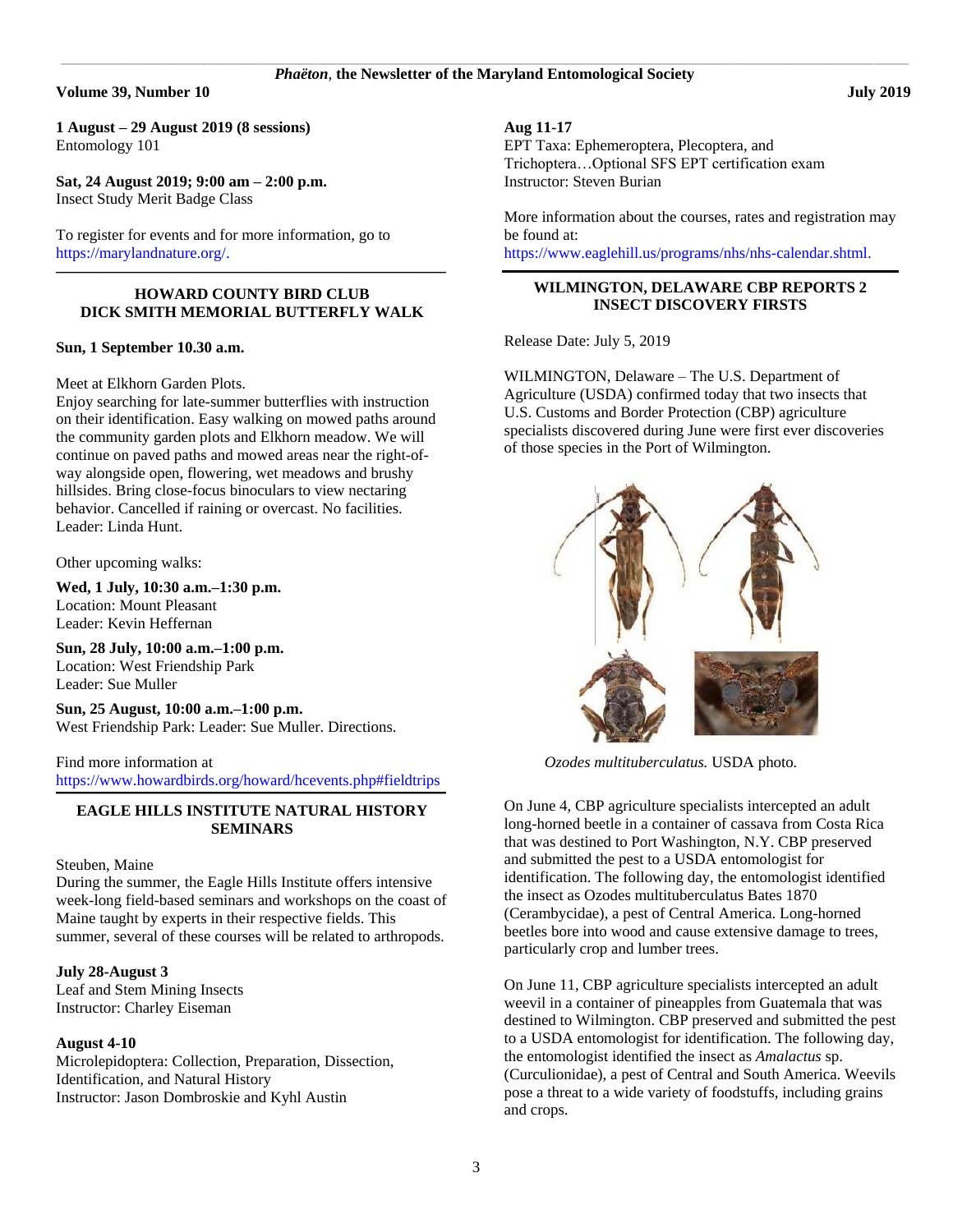#### \_\_\_\_\_\_\_\_\_\_\_\_\_\_\_\_\_\_\_\_\_\_\_\_\_\_\_\_\_\_\_\_\_\_\_\_\_\_\_\_\_\_\_\_\_\_\_\_\_\_\_\_\_\_\_\_\_\_\_\_\_\_\_\_\_\_\_\_\_\_\_\_\_\_\_\_\_\_\_\_\_\_\_\_\_\_\_\_\_\_\_\_\_\_\_\_\_\_\_\_\_\_\_\_\_\_\_\_\_\_\_\_\_\_\_\_\_\_\_\_\_\_\_\_\_\_\_\_\_\_\_\_\_\_\_\_\_\_\_\_\_\_\_\_\_\_\_\_\_\_\_\_\_\_\_\_\_\_\_\_\_\_\_\_\_\_\_\_\_\_\_\_\_\_\_\_\_\_\_\_\_\_\_\_\_\_\_\_\_\_\_\_\_\_\_\_\_\_\_\_\_\_\_\_\_\_\_\_\_\_\_\_\_\_\_\_\_\_ *Phaëton*, **the Newsletter of the Maryland Entomological Society**

#### **Volume 39, Number 10 July 2019**

**1 August – 29 August 2019 (8 sessions)** Entomology 101

**Sat, 24 August 2019; 9:00 am – 2:00 p.m.** Insect Study Merit Badge Class

To register for events and for more information, go to [https://marylandnature.org/.](https://marylandnature.org/)

## **HOWARD COUNTY BIRD CLUB DICK SMITH MEMORIAL BUTTERFLY WALK**

**\_\_\_\_\_\_\_\_\_\_\_\_\_\_\_\_\_\_\_\_\_\_\_\_\_\_\_\_\_\_\_\_\_\_\_\_\_\_\_\_\_\_\_\_\_\_\_\_\_\_\_\_\_\_\_\_\_\_\_\_\_\_\_\_\_\_\_\_\_\_\_\_\_\_\_\_\_\_\_\_\_\_\_\_\_\_\_\_\_\_\_\_\_\_\_\_\_\_\_\_\_\_\_\_\_\_\_\_\_\_\_\_\_\_\_\_\_\_\_\_\_\_\_\_\_\_\_\_\_\_\_\_\_\_\_\_\_\_\_\_\_\_\_\_\_\_\_\_\_\_\_\_\_\_\_\_\_\_\_\_\_\_\_\_\_\_\_**

#### **Sun, 1 September 10.30 a.m.**

Meet at Elkhorn Garden Plots.

Enjoy searching for late-summer butterflies with instruction on their identification. Easy walking on mowed paths around the community garden plots and Elkhorn meadow. We will continue on paved paths and mowed areas near the right-ofway alongside open, flowering, wet meadows and brushy hillsides. Bring close-focus binoculars to view nectaring behavior. Cancelled if raining or overcast. No facilities. Leader: Linda Hunt.

Other upcoming walks:

**Wed, 1 July, 10:30 a.m.–1:30 p.m.** Location: Mount Pleasant Leader: Kevin Heffernan

**Sun, 28 July, 10:00 a.m.–1:00 p.m.** Location: West Friendship Park Leader: Sue Muller

**Sun, 25 August, 10:00 a.m.–1:00 p.m.** West Friendship Park: Leader: Sue Muller. Directions.

Find more information at

[https://www.howardbirds.org/howard/hcevents.php#fieldtrips](https://www.howardbirds.org/howard/hcevents.php%23fieldtrips) **\_\_\_\_\_\_\_\_\_\_\_\_\_\_\_\_\_\_\_\_\_\_\_\_\_\_\_\_\_\_\_\_\_\_\_\_\_\_\_\_\_\_\_\_\_\_\_\_\_\_\_\_\_\_\_\_\_\_\_\_\_\_\_\_\_\_\_\_\_\_\_\_\_\_\_\_\_\_\_\_\_\_\_\_\_\_\_\_\_\_\_\_\_\_\_\_\_\_\_\_\_\_\_\_\_\_\_\_\_\_\_\_\_\_\_\_\_\_\_\_\_\_\_\_\_\_\_\_\_\_\_\_\_\_\_\_\_\_\_\_\_\_\_\_\_\_\_\_\_\_\_\_\_\_\_\_\_\_\_\_\_\_\_\_\_\_\_**

## **EAGLE HILLS INSTITUTE NATURAL HISTORY SEMINARS**

Steuben, Maine

During the summer, the Eagle Hills Institute offers intensive week-long field-based seminars and workshops on the coast of Maine taught by experts in their respective fields. This summer, several of these courses will be related to arthropods.

#### **July 28-August 3**

Leaf and Stem Mining Insects Instructor: Charley Eiseman

#### **August 4-10**

Microlepidoptera: Collection, Preparation, Dissection, Identification, and Natural History Instructor: Jason Dombroskie and Kyhl Austin

## **Aug 11-17**

EPT Taxa: Ephemeroptera, Plecoptera, and Trichoptera…Optional SFS EPT certification exam Instructor: Steven Burian

More information about the courses, rates and registration may be found at:

[https://www.eaglehill.us/programs/nhs/nhs-calendar.shtml.](https://www.eaglehill.us/programs/nhs/nhs-calendar.shtml)

#### **WILMINGTON, DELAWARE CBP REPORTS 2 INSECT DISCOVERY FIRSTS**

Release Date: July 5, 2019

WILMINGTON, Delaware – The U.S. Department of Agriculture (USDA) confirmed today that two insects that U.S. Customs and Border Protection (CBP) agriculture specialists discovered during June were first ever discoveries of those species in the Port of Wilmington.



*Ozodes multituberculatus.* USDA photo*.*

On June 4, CBP agriculture specialists intercepted an adult long-horned beetle in a container of cassava from Costa Rica that was destined to Port Washington, N.Y. CBP preserved and submitted the pest to a USDA entomologist for identification. The following day, the entomologist identified the insect as Ozodes multituberculatus Bates 1870 (Cerambycidae), a pest of Central America. Long-horned beetles bore into wood and cause extensive damage to trees, particularly crop and lumber trees.

On June 11, CBP agriculture specialists intercepted an adult weevil in a container of pineapples from Guatemala that was destined to Wilmington. CBP preserved and submitted the pest to a USDA entomologist for identification. The following day, the entomologist identified the insect as *Amalactus* sp. (Curculionidae), a pest of Central and South America. Weevils pose a threat to a wide variety of foodstuffs, including grains and crops.